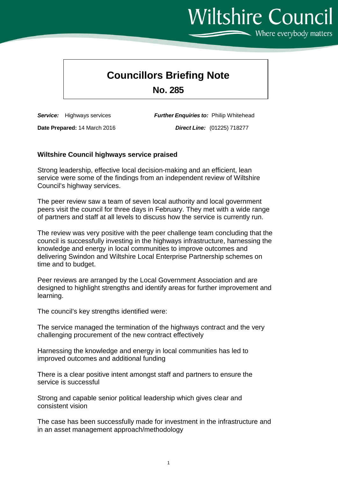## **Councillors Briefing Note**

**No. 285**

**Date Prepared:** 14 March 2016 *Direct Line:* (01225) 718277

*Service:* Highways services *Further Enquiries to:* Philip Whitehead

## **Wiltshire Council highways service praised**

Strong leadership, effective local decision-making and an efficient, lean service were some of the findings from an independent review of Wiltshire Council's highway services.

The peer review saw a team of seven local authority and local government peers visit the council for three days in February. They met with a wide range of partners and staff at all levels to discuss how the service is currently run.

The review was very positive with the peer challenge team concluding that the council is successfully investing in the highways infrastructure, harnessing the knowledge and energy in local communities to improve outcomes and delivering Swindon and Wiltshire Local Enterprise Partnership schemes on time and to budget.

Peer reviews are arranged by the Local Government Association and are designed to highlight strengths and identify areas for further improvement and learning.

The council's key strengths identified were:

The service managed the termination of the highways contract and the very challenging procurement of the new contract effectively

Harnessing the knowledge and energy in local communities has led to improved outcomes and additional funding

There is a clear positive intent amongst staff and partners to ensure the service is successful

Strong and capable senior political leadership which gives clear and consistent vision

The case has been successfully made for investment in the infrastructure and in an asset management approach/methodology